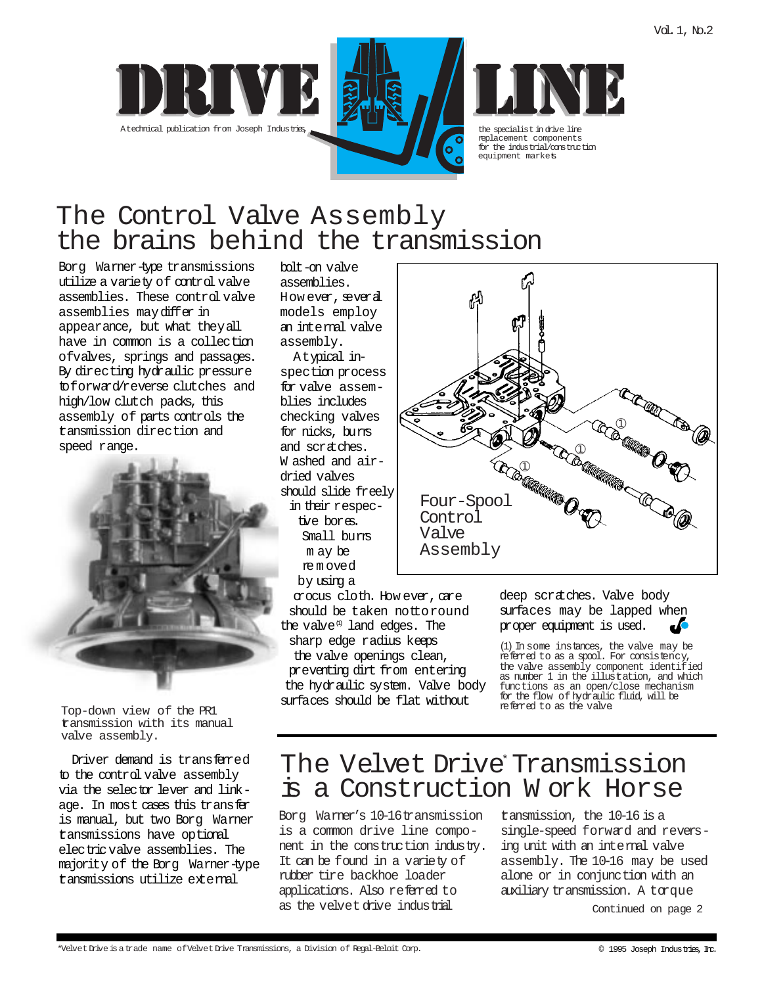





replacement components for the industrial/construction equipment markets.

# The Control Valve Assembly the brains behind the transmission

Borg Warner-type transmissions utilize a variety of control valve assemblies. These control valve assemblies may differ in appearance, but what they all have in common is a collection ofvalves, springs and passages. By directing hydraulic pressure toforward/reverse clutches and high/low clutch packs, this assembly of parts controls the transmission direction and speed range.



Top-down view of the PR1 transmission with its manual valve assembly.

Driver demand is transferred to the control valve assembly via the selector lever and linkage. In most cases this transfer is manual, but two Borg Warner transmissions have optional electric valve assemblies. The majority of the Borg Warner-type transmissions utilize external

bolt-on valve assemblies. How ever, several models employ an internal valve assembly.

A typical inspection process for valve assemblies includes checking valves for nicks, burrs and scratches. W ashed and airdried valves should slide freely in their respective bores. Small burrs m ay be re m oved by using a

crocus cloth. How ever, care should be taken nottoround the valve  $\mathbb{I}$  land edges. The sharp edge radius keeps the valve openings clean, preventing dirt from entering the hydraulic system. Valve body surfaces should be flat without



deep scratches. Valve body surfaces may be lapped when proper equipment is used.

(1) In some instances, the valve may be referred to as a spool. For consistency, the valve assembly component identified as number 1 in the illustration, and which functions as an open/close mechanism for the flow of hydraulic fluid, will be referred to as the valve.

## The Velvet Drive Transmission is a Construction W ork Horse

Borg Warner's 10-16transmission is a common drive line component in the construction industry. It can be found in a variety of rubber tire backhoe loader applications. Also referred to as the velvet drive industrial

transmission, the 10-16 is a single-speed forward and reversing unit with an internal valve assembly. The 10-16 may be used alone or in conjunction with an auxiliary transmission. A torque

Continued on page 2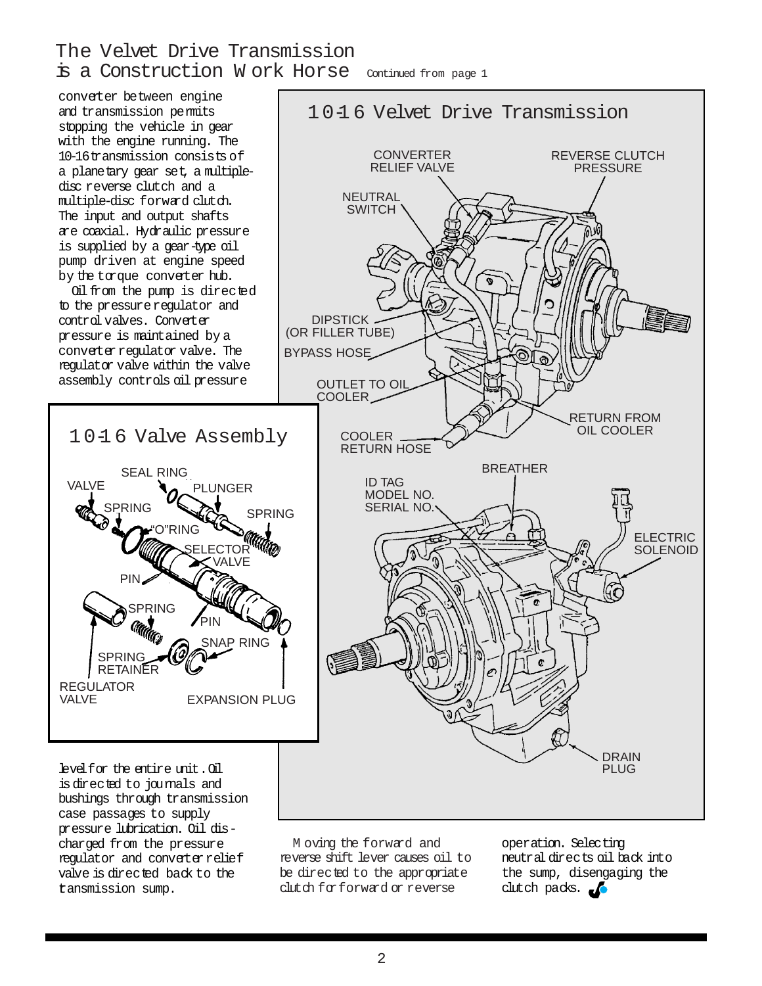### The Velvet Drive Transmission is a Construction W ork Horse Continued from page 1

conveter between engine and transmission permits stopping the vehicle in gear with the engine running. The 10-16transmission consists of a planetary gear set, a multipledisc reverse clutch and a multiple-disc forward clutch. The input and output shafts are coaxial. Hydraulic pressure is supplied by a gear-type oil pump driven at engine speed by the torque converter hub.

Oil from the pump is directed to the pressure regulator and control valves. Converter pressure is maintained by a converter requlator valve. The regulator valve within the valve assembly controls oil pressure



levelfor the entire unit.Oil is directed to journals and bushings through transmission case passages to supply pressure lubrication. Oil discharged from the pressure regulator and converter relief valve is directed back to the transmission sump.

M oving the forward and reverse shift lever causes oil to be directed to the appropriate clutch for forward or reverse

operation. Selecting neutral directs oil back into the sump, disengaging the clutch packs.  $\bullet$